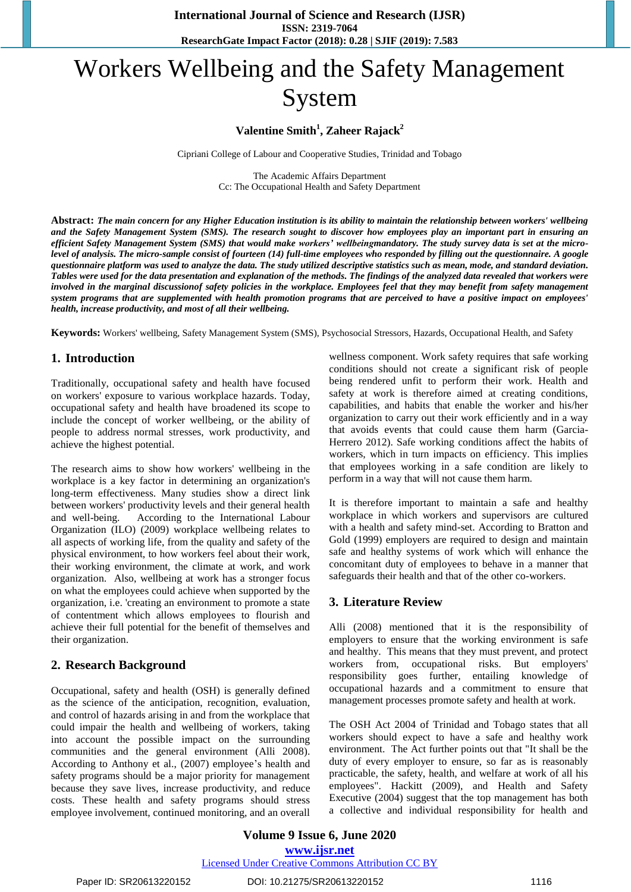# Workers Wellbeing and the Safety Management System

## **Valentine Smith<sup>1</sup> , Zaheer Rajack<sup>2</sup>**

Cipriani College of Labour and Cooperative Studies, Trinidad and Tobago

The Academic Affairs Department Cc: The Occupational Health and Safety Department

**Abstract:** *The main concern for any Higher Education institution is its ability to maintain the relationship between workers' wellbeing and the Safety Management System (SMS). The research sought to discover how employees play an important part in ensuring an efficient Safety Management System (SMS) that would make workers' wellbeingmandatory. The study survey data is set at the microlevel of analysis. The micro-sample consist of fourteen (14) full-time employees who responded by filling out the questionnaire. A google questionnaire platform was used to analyze the data. The study utilized descriptive statistics such as mean, mode, and standard deviation. Tables were used for the data presentation and explanation of the methods. The findings of the analyzed data revealed that workers were involved in the marginal discussionof safety policies in the workplace. Employees feel that they may benefit from safety management system programs that are supplemented with health promotion programs that are perceived to have a positive impact on employees' health, increase productivity, and most of all their wellbeing.*

**Keywords:** Workers' wellbeing, Safety Management System (SMS), Psychosocial Stressors, Hazards, Occupational Health, and Safety

## **1. Introduction**

Traditionally, occupational safety and health have focused on workers' exposure to various workplace hazards. Today, occupational safety and health have broadened its scope to include the concept of worker wellbeing, or the ability of people to address normal stresses, work productivity, and achieve the highest potential.

The research aims to show how workers' wellbeing in the workplace is a key factor in determining an organization's long-term effectiveness. Many studies show a direct link between workers' productivity levels and their general health and well-being. According to the International Labour Organization (ILO) (2009) workplace wellbeing relates to all aspects of working life, from the quality and safety of the physical environment, to how workers feel about their work, their working environment, the climate at work, and work organization. Also, wellbeing at work has a stronger focus on what the employees could achieve when supported by the organization, i.e. 'creating an environment to promote a state of contentment which allows employees to flourish and achieve their full potential for the benefit of themselves and their organization.

## **2. Research Background**

Occupational, safety and health (OSH) is generally defined as the science of the anticipation, recognition, evaluation, and control of hazards arising in and from the workplace that could impair the health and wellbeing of workers, taking into account the possible impact on the surrounding communities and the general environment (Alli 2008). According to Anthony et al., (2007) employee's health and safety programs should be a major priority for management because they save lives, increase productivity, and reduce costs. These health and safety programs should stress employee involvement, continued monitoring, and an overall wellness component. Work safety requires that safe working conditions should not create a significant risk of people being rendered unfit to perform their work. Health and safety at work is therefore aimed at creating conditions, capabilities, and habits that enable the worker and his/her organization to carry out their work efficiently and in a way that avoids events that could cause them harm (Garcia-Herrero 2012). Safe working conditions affect the habits of workers, which in turn impacts on efficiency. This implies that employees working in a safe condition are likely to perform in a way that will not cause them harm.

It is therefore important to maintain a safe and healthy workplace in which workers and supervisors are cultured with a health and safety mind-set. According to Bratton and Gold (1999) employers are required to design and maintain safe and healthy systems of work which will enhance the concomitant duty of employees to behave in a manner that safeguards their health and that of the other co-workers.

## **3. Literature Review**

Alli (2008) mentioned that it is the responsibility of employers to ensure that the working environment is safe and healthy. This means that they must prevent, and protect workers from, occupational risks. But employers' responsibility goes further, entailing knowledge of occupational hazards and a commitment to ensure that management processes promote safety and health at work.

The OSH Act 2004 of Trinidad and Tobago states that all workers should expect to have a safe and healthy work environment. The Act further points out that "It shall be the duty of every employer to ensure, so far as is reasonably practicable, the safety, health, and welfare at work of all his employees". Hackitt (2009), and Health and Safety Executive (2004) suggest that the top management has both a collective and individual responsibility for health and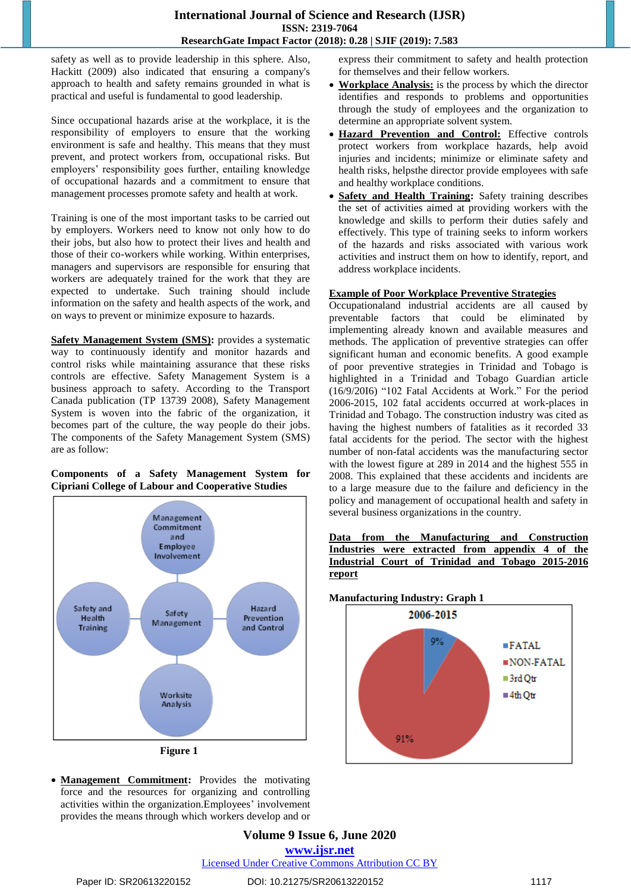### **International Journal of Science and Research (IJSR) ISSN: 2319-7064 ResearchGate Impact Factor (2018): 0.28 | SJIF (2019): 7.583**

safety as well as to provide leadership in this sphere. Also, Hackitt (2009) also indicated that ensuring a company's approach to health and safety remains grounded in what is practical and useful is fundamental to good leadership.

Since occupational hazards arise at the workplace, it is the responsibility of employers to ensure that the working environment is safe and healthy. This means that they must prevent, and protect workers from, occupational risks. But employers' responsibility goes further, entailing knowledge of occupational hazards and a commitment to ensure that management processes promote safety and health at work.

Training is one of the most important tasks to be carried out by employers. Workers need to know not only how to do their jobs, but also how to protect their lives and health and those of their co-workers while working. Within enterprises, managers and supervisors are responsible for ensuring that workers are adequately trained for the work that they are expected to undertake. Such training should include information on the safety and health aspects of the work, and on ways to prevent or minimize exposure to hazards.

**Safety Management System (SMS):** provides a systematic way to continuously identify and monitor hazards and control risks while maintaining assurance that these risks controls are effective. Safety Management System is a business approach to safety. According to the Transport Canada publication (TP 13739 2008), Safety Management System is woven into the fabric of the organization, it becomes part of the culture, the way people do their jobs. The components of the Safety Management System (SMS) are as follow:

#### **Components of a Safety Management System for Cipriani College of Labour and Cooperative Studies**



 **Management Commitment:** Provides the motivating force and the resources for organizing and controlling activities within the organization.Employees' involvement provides the means through which workers develop and or express their commitment to safety and health protection for themselves and their fellow workers.

- **Workplace Analysis:** is the process by which the director identifies and responds to problems and opportunities through the study of employees and the organization to determine an appropriate solvent system.
- **Hazard Prevention and Control:** Effective controls protect workers from workplace hazards, help avoid injuries and incidents; minimize or eliminate safety and health risks, helpsthe director provide employees with safe and healthy workplace conditions.
- **Safety and Health Training:** Safety training describes the set of activities aimed at providing workers with the knowledge and skills to perform their duties safely and effectively. This type of training seeks to inform workers of the hazards and risks associated with various work activities and instruct them on how to identify, report, and address workplace incidents.

## **Example of Poor Workplace Preventive Strategies**

Occupationaland industrial accidents are all caused by preventable factors that could be eliminated by implementing already known and available measures and methods. The application of preventive strategies can offer significant human and economic benefits. A good example of poor preventive strategies in Trinidad and Tobago is highlighted in a Trinidad and Tobago Guardian article (16/9/20I6) "102 Fatal Accidents at Work." For the period 2006-2015, 102 fatal accidents occurred at work-places in Trinidad and Tobago. The construction industry was cited as having the highest numbers of fatalities as it recorded 33 fatal accidents for the period. The sector with the highest number of non-fatal accidents was the manufacturing sector with the lowest figure at 289 in 2014 and the highest 555 in 2008. This explained that these accidents and incidents are to a large measure due to the failure and deficiency in the policy and management of occupational health and safety in several business organizations in the country.

|        |  | Data from the Manufacturing and Construction      |  |  |  |  |
|--------|--|---------------------------------------------------|--|--|--|--|
|        |  | Industries were extracted from appendix 4 of the  |  |  |  |  |
|        |  | Industrial Court of Trinidad and Tobago 2015-2016 |  |  |  |  |
| report |  |                                                   |  |  |  |  |



### **Volume 9 Issue 6, June 2020 www.ijsr.net** Licensed Under Creative Commons Attribution CC BY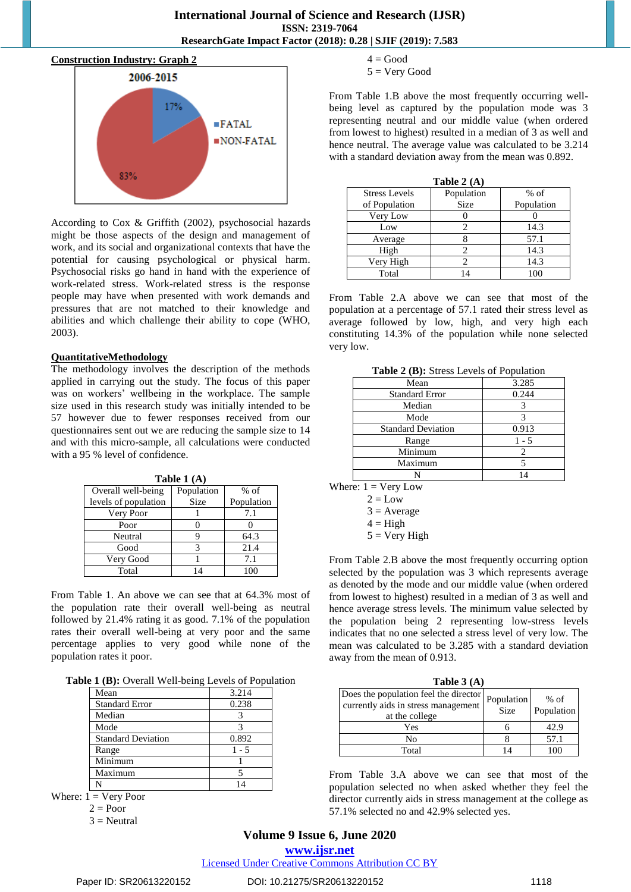

According to Cox & Griffith (2002), psychosocial hazards might be those aspects of the design and management of work, and its social and organizational contexts that have the potential for causing psychological or physical harm. Psychosocial risks go hand in hand with the experience of work-related stress. Work-related stress is the response people may have when presented with work demands and pressures that are not matched to their knowledge and abilities and which challenge their ability to cope (WHO, 2003).

#### **QuantitativeMethodology**

The methodology involves the description of the methods applied in carrying out the study. The focus of this paper was on workers' wellbeing in the workplace. The sample size used in this research study was initially intended to be 57 however due to fewer responses received from our questionnaires sent out we are reducing the sample size to 14 and with this micro-sample, all calculations were conducted with a 95 % level of confidence.

**Table 1 (A)**

| Overall well-being   | Population | $%$ of     |  |  |
|----------------------|------------|------------|--|--|
| levels of population | Size       | Population |  |  |
| Very Poor            |            | 7.1        |  |  |
| Poor                 |            |            |  |  |
| Neutral              |            | 64.3       |  |  |
| Good                 |            | 21.4       |  |  |
| Very Good            |            | 7.1        |  |  |
| Total                |            |            |  |  |

From Table 1. An above we can see that at 64.3% most of the population rate their overall well-being as neutral followed by 21.4% rating it as good. 7.1% of the population rates their overall well-being at very poor and the same percentage applies to very good while none of the population rates it poor.

|  |  | Table 1 (B): Overall Well-being Levels of Population |
|--|--|------------------------------------------------------|
|  |  |                                                      |

| Mean                      | 3.214   |
|---------------------------|---------|
| <b>Standard Error</b>     | 0.238   |
| Median                    |         |
| Mode                      |         |
| <b>Standard Deviation</b> | 0.892   |
| Range                     | $1 - 5$ |
| Minimum                   |         |
| Maximum                   |         |
|                           |         |

Where:  $1 =$  Very Poor

 $2 =$ Poor

 $3$  = Neutral

- $4 = Good$
- $5 = \text{Very Good}$

From Table 1.B above the most frequently occurring wellbeing level as captured by the population mode was 3 representing neutral and our middle value (when ordered from lowest to highest) resulted in a median of 3 as well and hence neutral. The average value was calculated to be 3.214 with a standard deviation away from the mean was 0.892.

| Table $2(A)$         |                |            |  |  |  |
|----------------------|----------------|------------|--|--|--|
| <b>Stress Levels</b> | Population     | $%$ of     |  |  |  |
| of Population        | <b>Size</b>    | Population |  |  |  |
| Very Low             |                |            |  |  |  |
| Low                  |                | 14.3       |  |  |  |
| Average              |                | 57.1       |  |  |  |
| High                 |                | 14.3       |  |  |  |
| Very High            |                | 14.3       |  |  |  |
| Total                | $\overline{4}$ |            |  |  |  |

From Table 2.A above we can see that most of the population at a percentage of 57.1 rated their stress level as average followed by low, high, and very high each constituting 14.3% of the population while none selected very low.

| <b>Table <math>\boldsymbol{z}</math></b> ( <b>D</b> ). But as Levels of Topmanon |       |
|----------------------------------------------------------------------------------|-------|
| Mean                                                                             | 3.285 |
| <b>Standard Error</b>                                                            | 0.244 |
| Median                                                                           |       |
| Mode                                                                             | 3     |
| <b>Standard Deviation</b>                                                        | 0.913 |
| Range                                                                            | 1 - 5 |
| Minimum                                                                          | 2     |
| Maximum                                                                          |       |
|                                                                                  | 14    |
|                                                                                  |       |

Where:  $1 = \text{Very Low}$ 

 $2 = Low$ 

```
3 = Average
```

```
4 = High
```
 $5 =$  Very High

From Table 2.B above the most frequently occurring option selected by the population was 3 which represents average as denoted by the mode and our middle value (when ordered from lowest to highest) resulted in a median of 3 as well and hence average stress levels. The minimum value selected by the population being 2 representing low-stress levels indicates that no one selected a stress level of very low. The mean was calculated to be 3.285 with a standard deviation away from the mean of 0.913.

| Table $3(A)$                                                                                   |                    |                      |
|------------------------------------------------------------------------------------------------|--------------------|----------------------|
| Does the population feel the director<br>currently aids in stress management<br>at the college | Population<br>Size | $%$ of<br>Population |
| Yes                                                                                            |                    | 42.9                 |
| No                                                                                             |                    | 57.1                 |
| Total                                                                                          |                    |                      |

From Table 3.A above we can see that most of the population selected no when asked whether they feel the director currently aids in stress management at the college as 57.1% selected no and 42.9% selected yes.

## **Volume 9 Issue 6, June 2020**

**www.ijsr.net**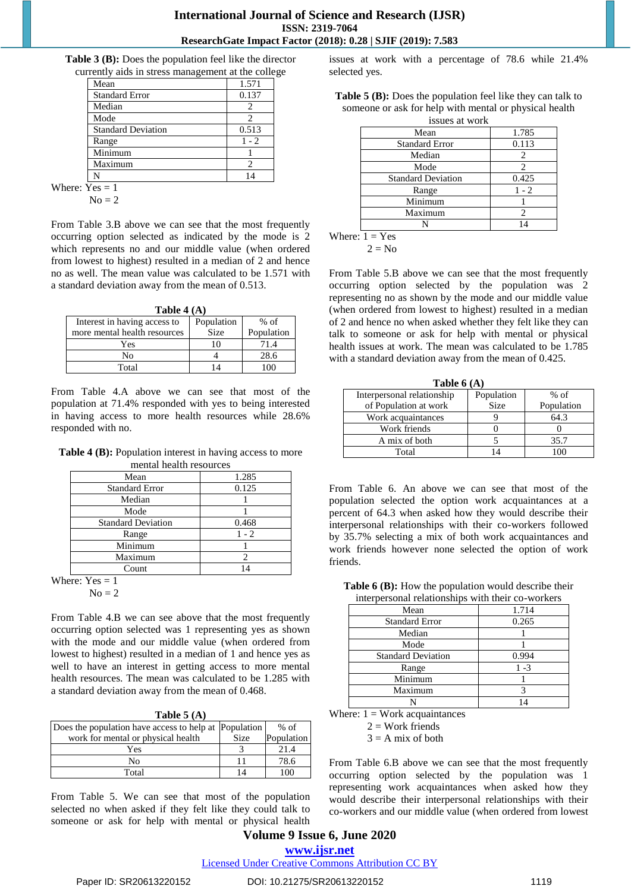#### **International Journal of Science and Research (IJSR) ISSN: 2319-7064 ResearchGate Impact Factor (2018): 0.28 | SJIF (2019): 7.583**

**Table 3 (B):** Does the population feel like the director currently aids in stress management at the college

| $\frac{1}{2}$ which in our case mainly convent in |         |
|---------------------------------------------------|---------|
| Mean                                              | 1.571   |
| <b>Standard Error</b>                             | 0.137   |
| Median                                            | 2.      |
| Mode                                              | 2       |
| <b>Standard Deviation</b>                         | 0.513   |
| Range                                             | $1 - 2$ |
| Minimum                                           |         |
| Maximum                                           | 2       |
| N                                                 |         |
|                                                   |         |

Where:  $Yes = 1$  $No = 2$ 

From Table 3.B above we can see that the most frequently occurring option selected as indicated by the mode is 2 which represents no and our middle value (when ordered from lowest to highest) resulted in a median of 2 and hence no as well. The mean value was calculated to be 1.571 with a standard deviation away from the mean of 0.513.

| Table 4 $(A)$ |  |  |
|---------------|--|--|
|               |  |  |

| $1001C + 111$                |             |            |  |  |  |
|------------------------------|-------------|------------|--|--|--|
| Interest in having access to | Population  | $%$ of     |  |  |  |
| more mental health resources | <b>Size</b> | Population |  |  |  |
| Yes                          | 10          | 71.4       |  |  |  |
| No                           |             | 28.6       |  |  |  |
| Total                        | 14          | 1 በበ       |  |  |  |

From Table 4.A above we can see that most of the population at 71.4% responded with yes to being interested in having access to more health resources while 28.6% responded with no.

**Table 4 (B):** Population interest in having access to more mental health resources

| Mean                      | 1.285   |
|---------------------------|---------|
| <b>Standard Error</b>     | 0.125   |
| Median                    |         |
| Mode                      |         |
| <b>Standard Deviation</b> | 0.468   |
| Range                     | $1 - 2$ |
| Minimum                   |         |
| Maximum                   |         |
| Count                     |         |

Where:  $Yes = 1$  $No = 2$ 

From Table 4.B we can see above that the most frequently occurring option selected was 1 representing yes as shown with the mode and our middle value (when ordered from lowest to highest) resulted in a median of 1 and hence yes as well to have an interest in getting access to more mental health resources. The mean was calculated to be 1.285 with a standard deviation away from the mean of 0.468.

| Does the population have access to help at Population |             | $%$ of     |
|-------------------------------------------------------|-------------|------------|
| work for mental or physical health                    | <b>Size</b> | Population |
| Yes                                                   |             | 21.4       |
| No                                                    |             | 78.6       |
| Total                                                 |             | 100        |

From Table 5. We can see that most of the population selected no when asked if they felt like they could talk to someone or ask for help with mental or physical health issues at work with a percentage of 78.6 while 21.4% selected yes.

| <b>Table 5 (B):</b> Does the population feel like they can talk to |
|--------------------------------------------------------------------|
| someone or ask for help with mental or physical health             |
| issues at work                                                     |

| 1990-99 UC WOLK           |         |
|---------------------------|---------|
| Mean                      | 1.785   |
| <b>Standard Error</b>     | 0.113   |
| Median                    | 2       |
| Mode                      | 2       |
| <b>Standard Deviation</b> | 0.425   |
| Range                     | $1 - 2$ |
| Minimum                   |         |
| Maximum                   | 2       |
|                           |         |

Where:  $1 = Yes$ 

 $2 = No$ 

From Table 5.B above we can see that the most frequently occurring option selected by the population was 2 representing no as shown by the mode and our middle value (when ordered from lowest to highest) resulted in a median of 2 and hence no when asked whether they felt like they can talk to someone or ask for help with mental or physical health issues at work. The mean was calculated to be 1.785 with a standard deviation away from the mean of 0.425.

| Table $6(A)$               |             |            |
|----------------------------|-------------|------------|
| Interpersonal relationship | Population  | $%$ of     |
| of Population at work      | <b>Size</b> | Population |
| Work acquaintances         |             | 64.3       |
| Work friends               |             |            |
| A mix of both              |             | 35.7       |
| Total                      |             |            |

From Table 6. An above we can see that most of the population selected the option work acquaintances at a percent of 64.3 when asked how they would describe their interpersonal relationships with their co-workers followed by 35.7% selecting a mix of both work acquaintances and work friends however none selected the option of work friends.

| Table 6 (B): How the population would describe their |
|------------------------------------------------------|
| interpersonal relationships with their co-workers    |

| meerpersonal renaismonips when along your charge |       |  |
|--------------------------------------------------|-------|--|
| Mean                                             | 1.714 |  |
| <b>Standard Error</b>                            | 0.265 |  |
| Median                                           |       |  |
| Mode                                             |       |  |
| <b>Standard Deviation</b>                        | 0.994 |  |
| Range                                            | 1 -3  |  |
| Minimum                                          |       |  |
| Maximum                                          |       |  |
|                                                  |       |  |

Where:  $1 =$  Work acquaintances

 $2 = Work$  friends

 $3 = A$  mix of both

From Table 6.B above we can see that the most frequently occurring option selected by the population was 1 representing work acquaintances when asked how they would describe their interpersonal relationships with their co-workers and our middle value (when ordered from lowest

## **Volume 9 Issue 6, June 2020 www.ijsr.net**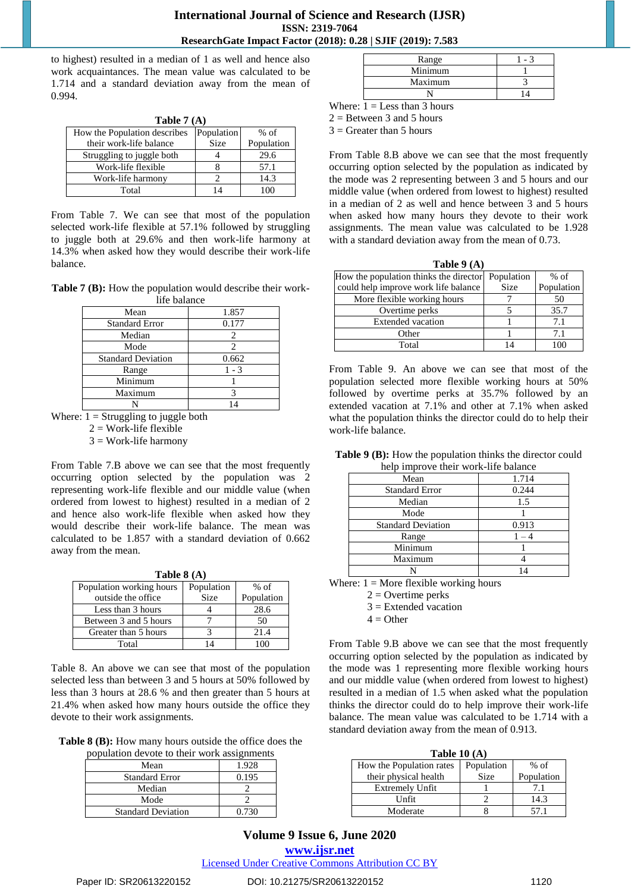to highest) resulted in a median of 1 as well and hence also work acquaintances. The mean value was calculated to be 1.714 and a standard deviation away from the mean of 0.994.

| Table $7(A)$                 |             |            |
|------------------------------|-------------|------------|
| How the Population describes | Population  | $%$ of     |
| their work-life balance      | <b>Size</b> | Population |
| Struggling to juggle both    |             | 29.6       |
| Work-life flexible           |             | 57.1       |
| Work-life harmony            |             | 14.3       |
| Total                        |             | 100        |

From Table 7. We can see that most of the population selected work-life flexible at 57.1% followed by struggling to juggle both at 29.6% and then work-life harmony at 14.3% when asked how they would describe their work-life balance.

**Table 7 (B):** How the population would describe their worklife balance

| me baiance                |         |
|---------------------------|---------|
| Mean                      | 1.857   |
| <b>Standard Error</b>     | 0.177   |
| Median                    |         |
| Mode                      | 2       |
| <b>Standard Deviation</b> | 0.662   |
| Range                     | $1 - 3$ |
| Minimum                   |         |
| Maximum                   |         |
|                           |         |

Where:  $\overline{1} =$  Struggling to juggle both

 $2 = Work-life flexible$ 

 $3 = Work-life$  harmony

From Table 7.B above we can see that the most frequently occurring option selected by the population was 2 representing work-life flexible and our middle value (when ordered from lowest to highest) resulted in a median of 2 and hence also work-life flexible when asked how they would describe their work-life balance. The mean was calculated to be 1.857 with a standard deviation of 0.662 away from the mean.

**Table 8 (A)**

| Population working hours | Population  | $%$ of     |
|--------------------------|-------------|------------|
| outside the office       | <b>Size</b> | Population |
| Less than 3 hours        |             | 28.6       |
| Between 3 and 5 hours    |             | 50         |
| Greater than 5 hours     |             | 21.4       |
| Total                    |             |            |

Table 8. An above we can see that most of the population selected less than between 3 and 5 hours at 50% followed by less than 3 hours at 28.6 % and then greater than 5 hours at 21.4% when asked how many hours outside the office they devote to their work assignments.

**Table 8 (B):** How many hours outside the office does the

| population devote to their work assignments |       |
|---------------------------------------------|-------|
| Mean                                        | 1.928 |
| <b>Standard Error</b>                       | 0.195 |
| Median                                      |       |
| Mode                                        |       |
| <b>Standard Deviation</b>                   | 0.730 |

| Range   |  |
|---------|--|
| Minimum |  |
| Maximum |  |
|         |  |
| - -     |  |

Where:  $1 =$  Less than 3 hours  $2 =$  Between 3 and 5 hours

 $3 =$  Greater than 5 hours

From Table 8.B above we can see that the most frequently occurring option selected by the population as indicated by the mode was 2 representing between 3 and 5 hours and our middle value (when ordered from lowest to highest) resulted in a median of 2 as well and hence between 3 and 5 hours when asked how many hours they devote to their work assignments. The mean value was calculated to be 1.928 with a standard deviation away from the mean of 0.73.

| Table $9(A)$                                      |             |            |
|---------------------------------------------------|-------------|------------|
| How the population thinks the director Population |             | $%$ of     |
| could help improve work life balance              | <b>Size</b> | Population |
| More flexible working hours                       |             | 50         |
| Overtime perks                                    |             | 35.7       |
| <b>Extended</b> vacation                          |             | 7.1        |
| Other                                             |             | 7.1        |
| Total                                             |             |            |

From Table 9. An above we can see that most of the population selected more flexible working hours at 50% followed by overtime perks at 35.7% followed by an extended vacation at 7.1% and other at 7.1% when asked what the population thinks the director could do to help their work-life balance.

**Table 9 (B):** How the population thinks the director could help improve their work-life balance

| Mean                      | 1.714 |
|---------------------------|-------|
| <b>Standard Error</b>     | 0.244 |
| Median                    | 1.5   |
| Mode                      |       |
| <b>Standard Deviation</b> | 0.913 |
| Range                     |       |
| Minimum                   |       |
| Maximum                   |       |
|                           |       |

Where:  $1 =$  More flexible working hours

 $2 =$  Overtime perks

 $3 =$  Extended vacation

 $4 =$  Other

From Table 9.B above we can see that the most frequently occurring option selected by the population as indicated by the mode was 1 representing more flexible working hours and our middle value (when ordered from lowest to highest) resulted in a median of 1.5 when asked what the population thinks the director could do to help improve their work-life balance. The mean value was calculated to be 1.714 with a standard deviation away from the mean of 0.913.

| Table 10 $(A)$           |            |            |  |
|--------------------------|------------|------------|--|
| How the Population rates | Population | $%$ of     |  |
| their physical health    | Size       | Population |  |
| <b>Extremely Unfit</b>   |            | 7.1        |  |
| Unfit                    |            | 14.3       |  |
| Moderate                 |            | 57.1       |  |

# **Volume 9 Issue 6, June 2020**

**www.ijsr.net**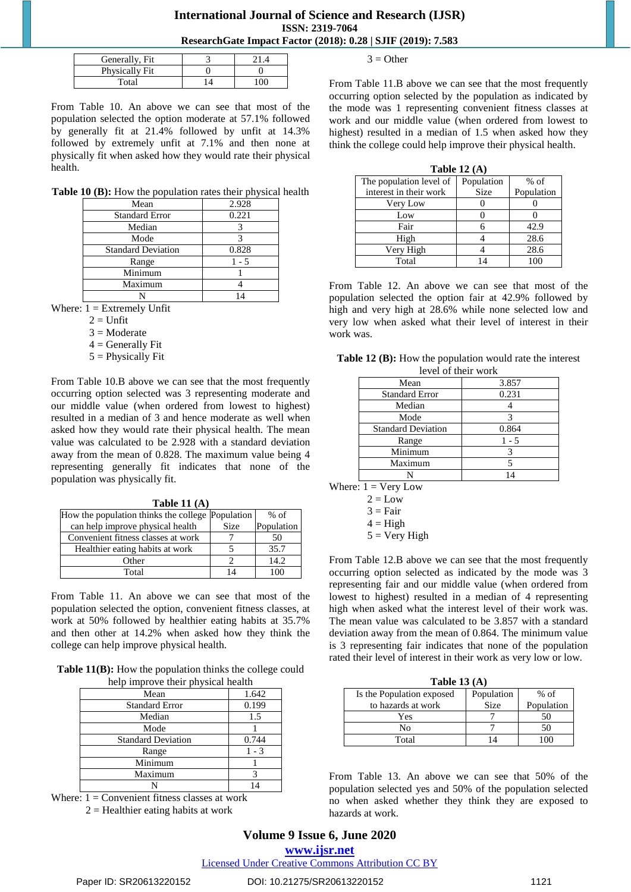#### **International Journal of Science and Research (IJSR) ISSN: 2319-7064 ResearchGate Impact Factor (2018): 0.28 | SJIF (2019): 7.583**

| Generally, Fit |  |
|----------------|--|
| Physically Fit |  |
| $\rm Total$    |  |

From Table 10. An above we can see that most of the population selected the option moderate at 57.1% followed by generally fit at 21.4% followed by unfit at 14.3% followed by extremely unfit at 7.1% and then none at physically fit when asked how they would rate their physical health.

**Table 10 (B):** How the population rates their physical health

| Mean                      | 2.928 |
|---------------------------|-------|
| <b>Standard Error</b>     | 0.221 |
| Median                    |       |
| Mode                      |       |
| <b>Standard Deviation</b> | 0.828 |
| Range                     | 1 - 5 |
| Minimum                   |       |
| Maximum                   |       |
|                           |       |

Where:  $1 =$  Extremely Unfit

- $2 =$  Unfit
- $3 =$ Moderate
- $4 =$  Generally Fit
- $5$  = Physically Fit

From Table 10.B above we can see that the most frequently occurring option selected was 3 representing moderate and our middle value (when ordered from lowest to highest) resulted in a median of 3 and hence moderate as well when asked how they would rate their physical health. The mean value was calculated to be 2.928 with a standard deviation away from the mean of 0.828. The maximum value being 4 representing generally fit indicates that none of the population was physically fit.

**Table 11 (A)**

| How the population thinks the college Population |             | $%$ of     |
|--------------------------------------------------|-------------|------------|
| can help improve physical health                 | <b>Size</b> | Population |
| Convenient fitness classes at work               |             | 50         |
| Healthier eating habits at work                  |             | 35.7       |
| Other                                            |             | 14.2       |
| Total                                            |             |            |

From Table 11. An above we can see that most of the population selected the option, convenient fitness classes, at work at 50% followed by healthier eating habits at 35.7% and then other at 14.2% when asked how they think the college can help improve physical health.

**Table 11(B):** How the population thinks the college could help improve their physical health

| Mean                      | 1.642   |
|---------------------------|---------|
| <b>Standard Error</b>     | 0.199   |
| Median                    | 1.5     |
| Mode                      |         |
| <b>Standard Deviation</b> | 0.744   |
| Range                     | $1 - 3$ |
| Minimum                   |         |
| Maximum                   |         |
|                           |         |

Where:  $1 =$  Convenient fitness classes at work

 $2 =$  Healthier eating habits at work

 $3 =$  Other

From Table 11.B above we can see that the most frequently occurring option selected by the population as indicated by the mode was 1 representing convenient fitness classes at work and our middle value (when ordered from lowest to highest) resulted in a median of 1.5 when asked how they think the college could help improve their physical health.

| Table 12 $(A)$          |             |            |  |
|-------------------------|-------------|------------|--|
| The population level of | Population  | $%$ of     |  |
| interest in their work  | <b>Size</b> | Population |  |
| Very Low                |             |            |  |
| Low                     |             |            |  |
| Fair                    |             | 42.9       |  |
| High                    |             | 28.6       |  |
| Very High               |             | 28.6       |  |
| Total                   |             | 100        |  |

From Table 12. An above we can see that most of the population selected the option fair at 42.9% followed by high and very high at 28.6% while none selected low and very low when asked what their level of interest in their work was.

| Table 12 (B): How the population would rate the interest |
|----------------------------------------------------------|
| level of their work                                      |

| IV VU OI UIVII WOIK       |         |  |
|---------------------------|---------|--|
| Mean                      | 3.857   |  |
| <b>Standard Error</b>     | 0.231   |  |
| Median                    |         |  |
| Mode                      | 3       |  |
| <b>Standard Deviation</b> | 0.864   |  |
| Range                     | $1 - 5$ |  |
| Minimum                   | 3       |  |
| Maximum                   |         |  |
|                           |         |  |

Where:  $1 = \text{Very Low}$ 

|  | ٧ |
|--|---|
|  |   |

| Hi¤h |  |
|------|--|

 $5 = \text{Very High}$ 

From Table 12.B above we can see that the most frequently occurring option selected as indicated by the mode was 3 representing fair and our middle value (when ordered from lowest to highest) resulted in a median of 4 representing high when asked what the interest level of their work was. The mean value was calculated to be 3.857 with a standard deviation away from the mean of 0.864. The minimum value is 3 representing fair indicates that none of the population rated their level of interest in their work as very low or low.

| Table 13 $(A)$            |            |            |  |  |
|---------------------------|------------|------------|--|--|
| Is the Population exposed | Population | $%$ of     |  |  |
| to hazards at work        | Size       | Population |  |  |
| Yes                       |            | 50         |  |  |
| No                        |            | 50         |  |  |
| Total                     |            |            |  |  |

From Table 13. An above we can see that 50% of the population selected yes and 50% of the population selected no when asked whether they think they are exposed to hazards at work.

# **Volume 9 Issue 6, June 2020**

**www.ijsr.net**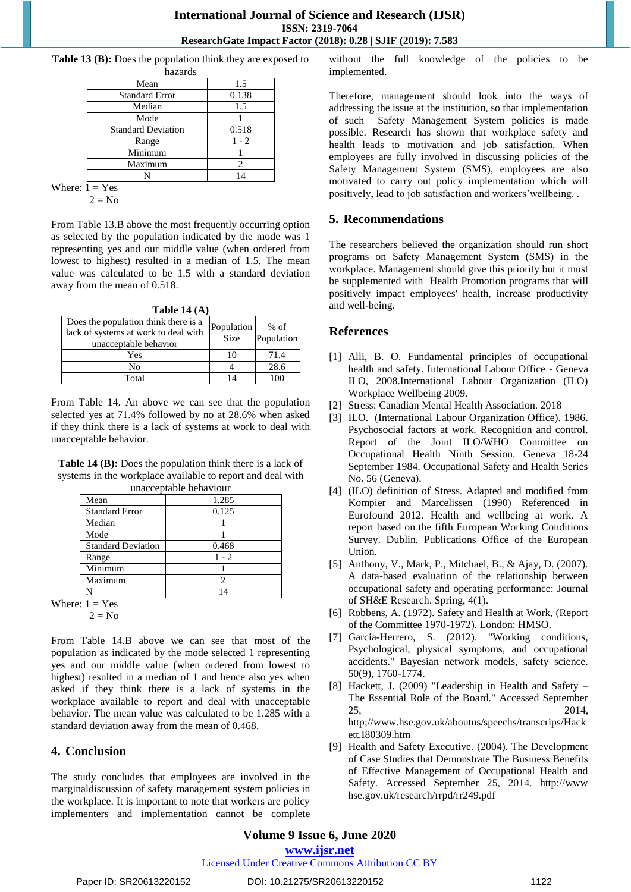**Table 13 (B):** Does the population think they are exposed to hazards

| nazarus                   |         |
|---------------------------|---------|
| Mean                      | 1.5     |
| <b>Standard Error</b>     | 0.138   |
| Median                    | 1.5     |
| Mode                      |         |
| <b>Standard Deviation</b> | 0.518   |
| Range                     | $1 - 2$ |
| Minimum                   |         |
| Maximum                   |         |
|                           |         |
| v 7                       |         |

Where:  $1 = Yes$  $2 = No$ 

From Table 13.B above the most frequently occurring option as selected by the population indicated by the mode was 1 representing yes and our middle value (when ordered from lowest to highest) resulted in a median of 1.5. The mean value was calculated to be 1.5 with a standard deviation away from the mean of 0.518.

| Table 14 $(A)$                                                                                        |                           |                      |  |  |
|-------------------------------------------------------------------------------------------------------|---------------------------|----------------------|--|--|
| Does the population think there is a<br>lack of systems at work to deal with<br>unacceptable behavior | Population<br><b>Size</b> | $%$ of<br>Population |  |  |
| Yes                                                                                                   | 10                        | 71.4                 |  |  |
| No                                                                                                    |                           | 28.6                 |  |  |
| Total                                                                                                 |                           |                      |  |  |

From Table 14. An above we can see that the population selected yes at 71.4% followed by no at 28.6% when asked if they think there is a lack of systems at work to deal with unacceptable behavior.

**Table 14 (B):** Does the population think there is a lack of systems in the workplace available to report and deal with unacceptable behaviour

| ----------------          |         |
|---------------------------|---------|
| Mean                      | 1.285   |
| <b>Standard Error</b>     | 0.125   |
| Median                    |         |
| Mode                      |         |
| <b>Standard Deviation</b> | 0.468   |
| Range                     | $1 - 2$ |
| Minimum                   |         |
| Maximum                   |         |
|                           |         |

Where:  $1 = Yes$ 

 $2 = No$ 

From Table 14.B above we can see that most of the population as indicated by the mode selected 1 representing yes and our middle value (when ordered from lowest to highest) resulted in a median of 1 and hence also yes when asked if they think there is a lack of systems in the workplace available to report and deal with unacceptable behavior. The mean value was calculated to be 1.285 with a standard deviation away from the mean of 0.468.

## **4. Conclusion**

The study concludes that employees are involved in the marginaldiscussion of safety management system policies in the workplace. It is important to note that workers are policy implementers and implementation cannot be complete without the full knowledge of the policies to be implemented.

Therefore, management should look into the ways of addressing the issue at the institution, so that implementation of such Safety Management System policies is made possible. Research has shown that workplace safety and health leads to motivation and job satisfaction. When employees are fully involved in discussing policies of the Safety Management System (SMS), employees are also motivated to carry out policy implementation which will positively, lead to job satisfaction and workers'wellbeing. .

## **5. Recommendations**

The researchers believed the organization should run short programs on Safety Management System (SMS) in the workplace. Management should give this priority but it must be supplemented with Health Promotion programs that will positively impact employees' health, increase productivity and well-being.

## **References**

- [1] Alli, B. O. Fundamental principles of occupational health and safety. International Labour Office - Geneva ILO, 2008.International Labour Organization (ILO) Workplace Wellbeing 2009.
- [2] Stress: Canadian Mental Health Association. 2018
- [3] ILO. (International Labour Organization Office). 1986. Psychosocial factors at work. Recognition and control. Report of the Joint ILO/WHO Committee on Occupational Health Ninth Session. Geneva 18-24 September 1984. Occupational Safety and Health Series No. 56 (Geneva).
- [4] (ILO) definition of Stress. Adapted and modified from Kompier and Marcelissen (1990) Referenced in Eurofound 2012. Health and wellbeing at work. A report based on the fifth European Working Conditions Survey. Dublin. Publications Office of the European Union.
- [5] Anthony, V., Mark, P., Mitchael, B., & Ajay, D. (2007). A data-based evaluation of the relationship between occupational safety and operating performance: Journal of SH&E Research. Spring, 4(1).
- [6] Robbens, A. (1972). Safety and Health at Work, (Report of the Committee 1970-1972). London: HMSO.
- [7] Garcia-Herrero, S. (2012). "Working conditions, Psychological, physical symptoms, and occupational accidents." Bayesian network models, safety science. 50(9), 1760-1774.
- [8] Hackett, J. (2009) "Leadership in Health and Safety The Essential Role of the Board." Accessed September 25, 2014, http;//www.hse.gov.uk/aboutus/speechs/transcrips/Hack ett.I80309.htm
- [9] Health and Safety Executive. (2004). The Development of Case Studies that Demonstrate The Business Benefits of Effective Management of Occupational Health and Safety. Accessed September 25, 2014. http://www hse.gov.uk/research/rrpd/rr249.pdf

# **Volume 9 Issue 6, June 2020**

**www.ijsr.net**